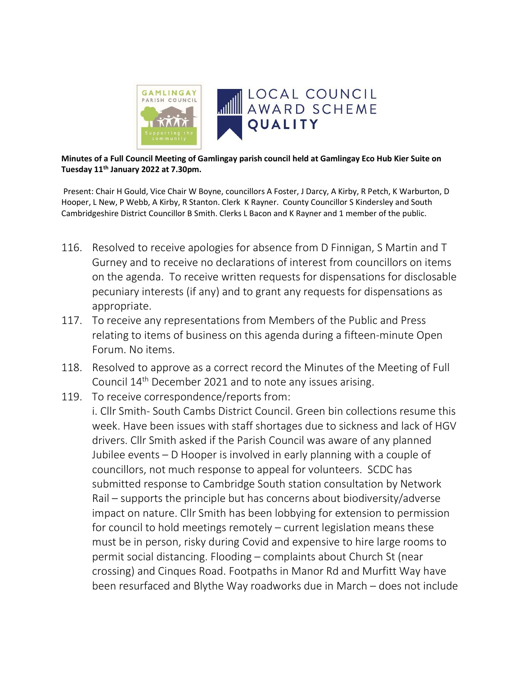

Minutes of a Full Council Meeting of Gamlingay parish council held at Gamlingay Eco Hub Kier Suite on Tuesday 11<sup>th</sup> January 2022 at 7.30pm.

 Present: Chair H Gould, Vice Chair W Boyne, councillors A Foster, J Darcy, A Kirby, R Petch, K Warburton, D Hooper, L New, P Webb, A Kirby, R Stanton. Clerk K Rayner. County Councillor S Kindersley and South Cambridgeshire District Councillor B Smith. Clerks L Bacon and K Rayner and 1 member of the public.

- 116. Resolved to receive apologies for absence from D Finnigan, S Martin and T Gurney and to receive no declarations of interest from councillors on items on the agenda. To receive written requests for dispensations for disclosable pecuniary interests (if any) and to grant any requests for dispensations as appropriate.
- 117. To receive any representations from Members of the Public and Press relating to items of business on this agenda during a fifteen-minute Open Forum. No items.
- 118. Resolved to approve as a correct record the Minutes of the Meeting of Full Council 14th December 2021 and to note any issues arising.
- 119. To receive correspondence/reports from: i. Cllr Smith- South Cambs District Council. Green bin collections resume this week. Have been issues with staff shortages due to sickness and lack of HGV drivers. Cllr Smith asked if the Parish Council was aware of any planned Jubilee events – D Hooper is involved in early planning with a couple of councillors, not much response to appeal for volunteers. SCDC has submitted response to Cambridge South station consultation by Network Rail – supports the principle but has concerns about biodiversity/adverse impact on nature. Cllr Smith has been lobbying for extension to permission for council to hold meetings remotely – current legislation means these must be in person, risky during Covid and expensive to hire large rooms to permit social distancing. Flooding – complaints about Church St (near crossing) and Cinques Road. Footpaths in Manor Rd and Murfitt Way have been resurfaced and Blythe Way roadworks due in March – does not include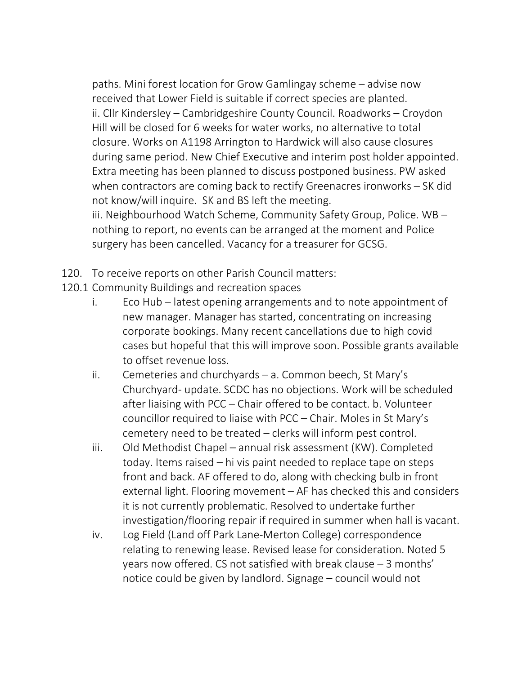paths. Mini forest location for Grow Gamlingay scheme – advise now received that Lower Field is suitable if correct species are planted. ii. Cllr Kindersley – Cambridgeshire County Council. Roadworks – Croydon Hill will be closed for 6 weeks for water works, no alternative to total closure. Works on A1198 Arrington to Hardwick will also cause closures during same period. New Chief Executive and interim post holder appointed. Extra meeting has been planned to discuss postponed business. PW asked when contractors are coming back to rectify Greenacres ironworks – SK did not know/will inquire. SK and BS left the meeting. iii. Neighbourhood Watch Scheme, Community Safety Group, Police. WB – nothing to report, no events can be arranged at the moment and Police surgery has been cancelled. Vacancy for a treasurer for GCSG.

- 120. To receive reports on other Parish Council matters:
- 120.1 Community Buildings and recreation spaces
	- i. Eco Hub latest opening arrangements and to note appointment of new manager. Manager has started, concentrating on increasing corporate bookings. Many recent cancellations due to high covid cases but hopeful that this will improve soon. Possible grants available to offset revenue loss.
	- ii. Cemeteries and churchyards a. Common beech, St Mary's Churchyard- update. SCDC has no objections. Work will be scheduled after liaising with PCC – Chair offered to be contact. b. Volunteer councillor required to liaise with PCC – Chair. Moles in St Mary's cemetery need to be treated – clerks will inform pest control.
	- iii. Old Methodist Chapel annual risk assessment (KW). Completed today. Items raised – hi vis paint needed to replace tape on steps front and back. AF offered to do, along with checking bulb in front external light. Flooring movement – AF has checked this and considers it is not currently problematic. Resolved to undertake further investigation/flooring repair if required in summer when hall is vacant.
	- iv. Log Field (Land off Park Lane-Merton College) correspondence relating to renewing lease. Revised lease for consideration. Noted 5 years now offered. CS not satisfied with break clause – 3 months' notice could be given by landlord. Signage – council would not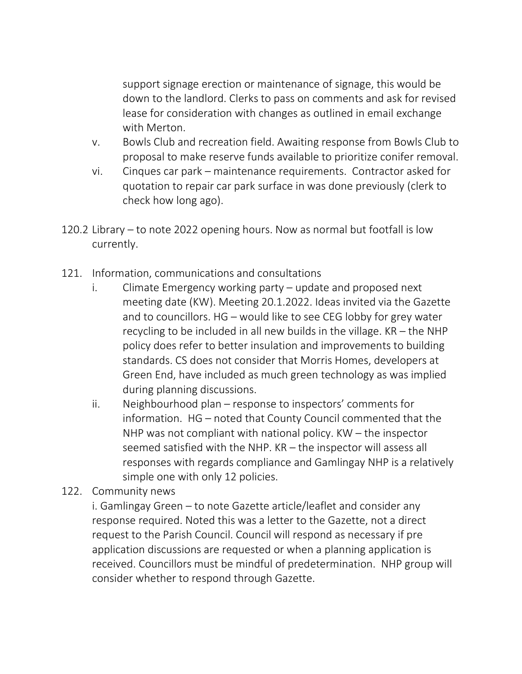support signage erection or maintenance of signage, this would be down to the landlord. Clerks to pass on comments and ask for revised lease for consideration with changes as outlined in email exchange with Merton.

- v. Bowls Club and recreation field. Awaiting response from Bowls Club to proposal to make reserve funds available to prioritize conifer removal.
- vi. Cinques car park maintenance requirements. Contractor asked for quotation to repair car park surface in was done previously (clerk to check how long ago).
- 120.2 Library to note 2022 opening hours. Now as normal but footfall is low currently.
- 121. Information, communications and consultations
	- i. Climate Emergency working party update and proposed next meeting date (KW). Meeting 20.1.2022. Ideas invited via the Gazette and to councillors. HG – would like to see CEG lobby for grey water recycling to be included in all new builds in the village. KR – the NHP policy does refer to better insulation and improvements to building standards. CS does not consider that Morris Homes, developers at Green End, have included as much green technology as was implied during planning discussions.
	- ii. Neighbourhood plan response to inspectors' comments for information. HG – noted that County Council commented that the NHP was not compliant with national policy. KW – the inspector seemed satisfied with the NHP. KR – the inspector will assess all responses with regards compliance and Gamlingay NHP is a relatively simple one with only 12 policies.
- 122. Community news

 i. Gamlingay Green – to note Gazette article/leaflet and consider any response required. Noted this was a letter to the Gazette, not a direct request to the Parish Council. Council will respond as necessary if pre application discussions are requested or when a planning application is received. Councillors must be mindful of predetermination. NHP group will consider whether to respond through Gazette.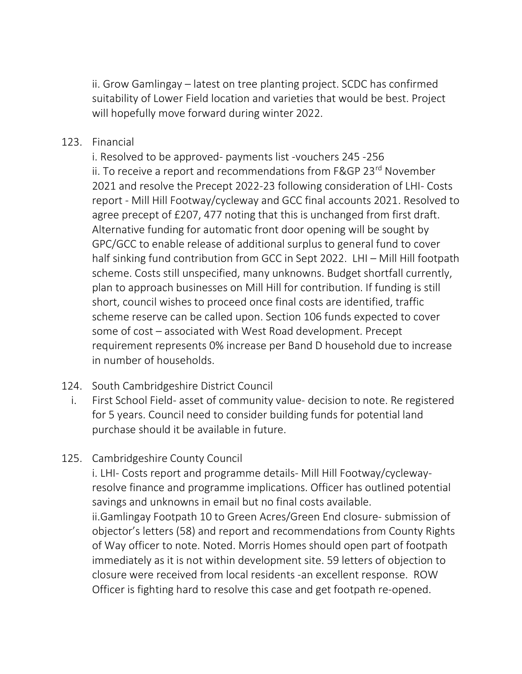ii. Grow Gamlingay – latest on tree planting project. SCDC has confirmed suitability of Lower Field location and varieties that would be best. Project will hopefully move forward during winter 2022.

## 123. Financial

 i. Resolved to be approved- payments list -vouchers 245 -256 ii. To receive a report and recommendations from F&GP 23<sup>rd</sup> November 2021 and resolve the Precept 2022-23 following consideration of LHI- Costs report - Mill Hill Footway/cycleway and GCC final accounts 2021. Resolved to agree precept of £207, 477 noting that this is unchanged from first draft. Alternative funding for automatic front door opening will be sought by GPC/GCC to enable release of additional surplus to general fund to cover half sinking fund contribution from GCC in Sept 2022. LHI – Mill Hill footpath scheme. Costs still unspecified, many unknowns. Budget shortfall currently, plan to approach businesses on Mill Hill for contribution. If funding is still short, council wishes to proceed once final costs are identified, traffic scheme reserve can be called upon. Section 106 funds expected to cover some of cost – associated with West Road development. Precept requirement represents 0% increase per Band D household due to increase in number of households.

## 124. South Cambridgeshire District Council

i. First School Field- asset of community value- decision to note. Re registered for 5 years. Council need to consider building funds for potential land purchase should it be available in future.

## 125. Cambridgeshire County Council

 i. LHI- Costs report and programme details- Mill Hill Footway/cyclewayresolve finance and programme implications. Officer has outlined potential savings and unknowns in email but no final costs available. ii.Gamlingay Footpath 10 to Green Acres/Green End closure- submission of objector's letters (58) and report and recommendations from County Rights of Way officer to note. Noted. Morris Homes should open part of footpath immediately as it is not within development site. 59 letters of objection to closure were received from local residents -an excellent response. ROW Officer is fighting hard to resolve this case and get footpath re-opened.